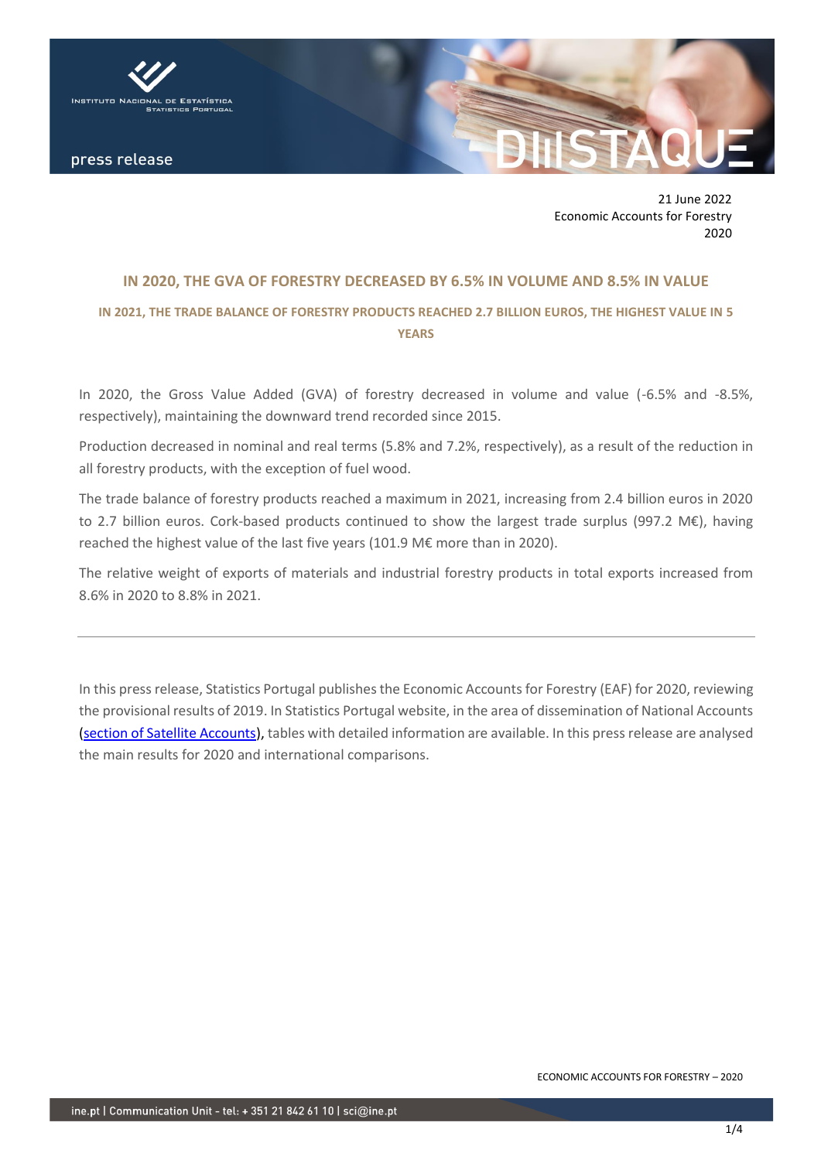

press release

21 June 2022 Economic Accounts for Forestry 2020

## **IN 2020, THE GVA OF FORESTRY DECREASED BY 6.5% IN VOLUME AND 8.5% IN VALUE**

# **IN 2021, THE TRADE BALANCE OF FORESTRY PRODUCTS REACHED 2.7 BILLION EUROS, THE HIGHEST VALUE IN 5 YEARS**

In 2020, the Gross Value Added (GVA) of forestry decreased in volume and value (-6.5% and -8.5%, respectively), maintaining the downward trend recorded since 2015.

Production decreased in nominal and real terms (5.8% and 7.2%, respectively), as a result of the reduction in all forestry products, with the exception of fuel wood.

The trade balance of forestry products reached a maximum in 2021, increasing from 2.4 billion euros in 2020 to 2.7 billion euros. Cork-based products continued to show the largest trade surplus (997.2 M€), having reached the highest value of the last five years (101.9 M€ more than in 2020).

The relative weight of exports of materials and industrial forestry products in total exports increased from 8.6% in 2020 to 8.8% in 2021.

In this press release, Statistics Portugal publishes the Economic Accounts for Forestry (EAF) for 2020, reviewing the provisional results of 2019. In Statistics Portugal website, in the area of dissemination of National Accounts [\(section of Satellite Accounts\)](https://www.ine.pt/xportal/xmain?xpid=INE&xpgid=ine_cnacionais2010b2016&contexto=cs&selTab=tab3&perfil=392023991&INST=391970297&xlang=en), tables with detailed information are available. In this press release are analysed the main results for 2020 and international comparisons.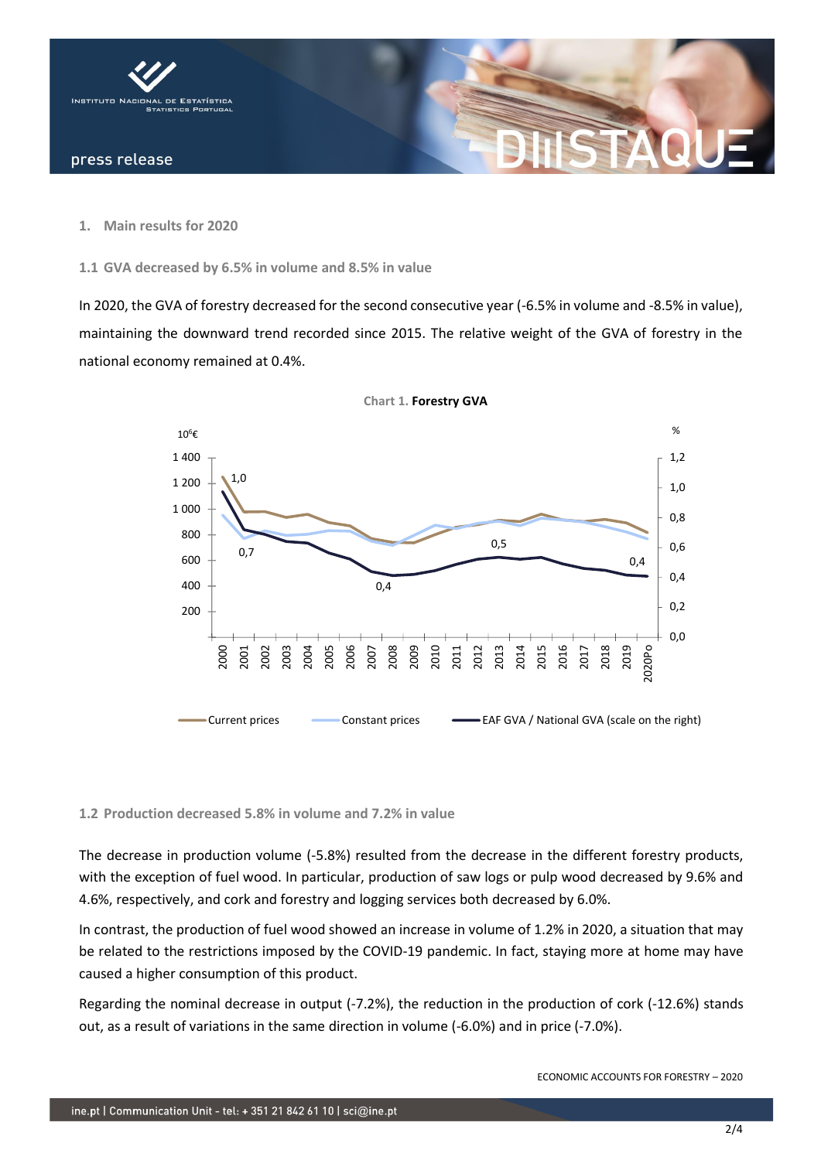

**1. Main results for 2020**

**1.1 GVA decreased by 6.5% in volume and 8.5% in value** 

In 2020, the GVA of forestry decreased for the second consecutive year (-6.5% in volume and -8.5% in value), maintaining the downward trend recorded since 2015. The relative weight of the GVA of forestry in the national economy remained at 0.4%.



**Chart 1. Forestry GVA**

#### **1.2 Production decreased 5.8% in volume and 7.2% in value**

The decrease in production volume (-5.8%) resulted from the decrease in the different forestry products, with the exception of fuel wood. In particular, production of saw logs or pulp wood decreased by 9.6% and 4.6%, respectively, and cork and forestry and logging services both decreased by 6.0%.

In contrast, the production of fuel wood showed an increase in volume of 1.2% in 2020, a situation that may be related to the restrictions imposed by the COVID-19 pandemic. In fact, staying more at home may have caused a higher consumption of this product.

Regarding the nominal decrease in output (-7.2%), the reduction in the production of cork (-12.6%) stands out, as a result of variations in the same direction in volume (-6.0%) and in price (-7.0%).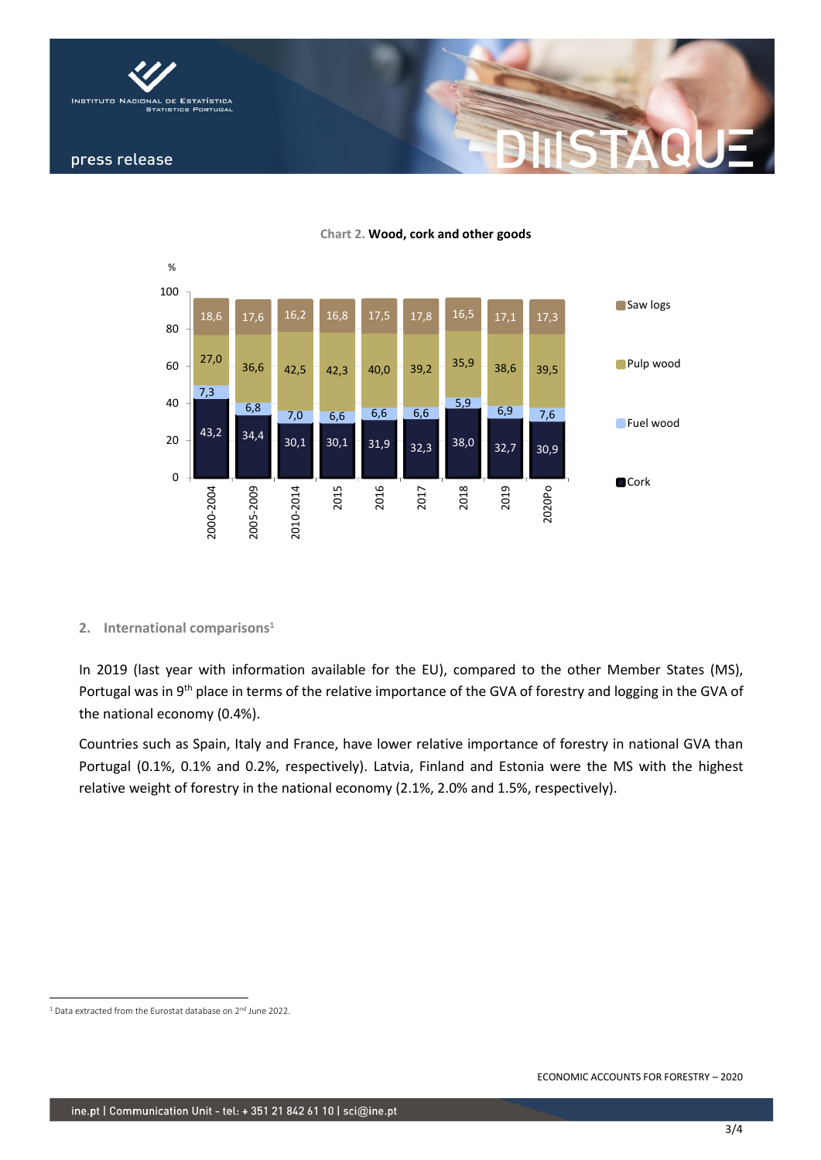



**Chart 2. Wood, cork and other goods**

### **2. International comparisons<sup>1</sup>**

In 2019 (last year with information available for the EU), compared to the other Member States (MS), Portugal was in 9<sup>th</sup> place in terms of the relative importance of the GVA of forestry and logging in the GVA of the national economy (0.4%).

Countries such as Spain, Italy and France, have lower relative importance of forestry in national GVA than Portugal (0.1%, 0.1% and 0.2%, respectively). Latvia, Finland and Estonia were the MS with the highest relative weight of forestry in the national economy (2.1%, 2.0% and 1.5%, respectively).

<sup>&</sup>lt;sup>1</sup> Data extracted from the Eurostat database on 2<sup>nd</sup> June 2022.